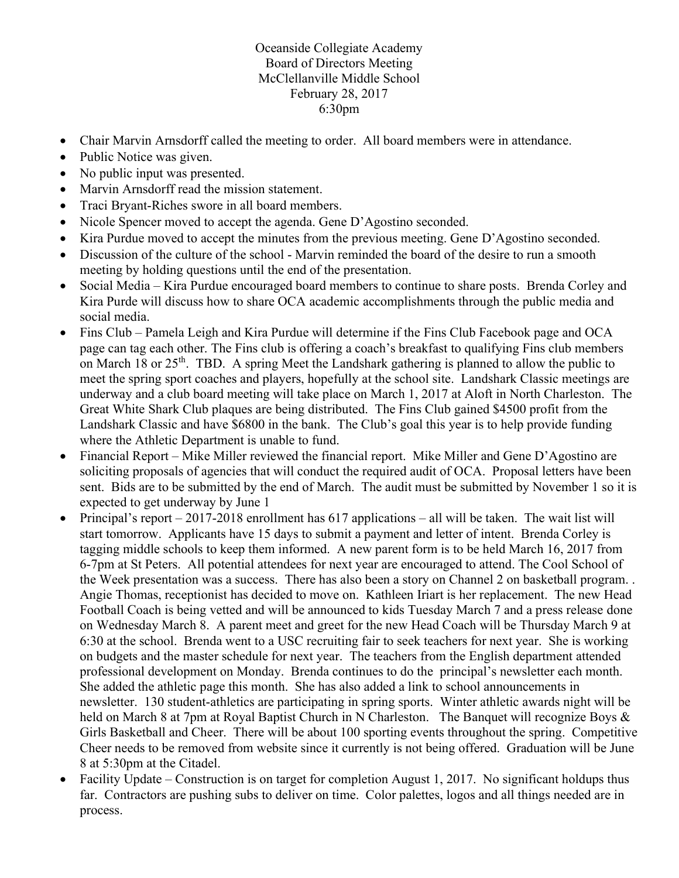Oceanside Collegiate Academy Board of Directors Meeting McClellanville Middle School February 28, 2017 6:30pm

- Chair Marvin Arnsdorff called the meeting to order. All board members were in attendance.
- Public Notice was given.
- No public input was presented.
- Marvin Arnsdorff read the mission statement.
- Traci Bryant-Riches swore in all board members.
- Nicole Spencer moved to accept the agenda. Gene D'Agostino seconded.
- Kira Purdue moved to accept the minutes from the previous meeting. Gene D'Agostino seconded.
- Discussion of the culture of the school Marvin reminded the board of the desire to run a smooth meeting by holding questions until the end of the presentation.
- Social Media Kira Purdue encouraged board members to continue to share posts. Brenda Corley and Kira Purde will discuss how to share OCA academic accomplishments through the public media and social media.
- Fins Club Pamela Leigh and Kira Purdue will determine if the Fins Club Facebook page and OCA page can tag each other. The Fins club is offering a coach's breakfast to qualifying Fins club members on March 18 or  $25<sup>th</sup>$ . TBD. A spring Meet the Landshark gathering is planned to allow the public to meet the spring sport coaches and players, hopefully at the school site. Landshark Classic meetings are underway and a club board meeting will take place on March 1, 2017 at Aloft in North Charleston. The Great White Shark Club plaques are being distributed. The Fins Club gained \$4500 profit from the Landshark Classic and have \$6800 in the bank. The Club's goal this year is to help provide funding where the Athletic Department is unable to fund.
- Financial Report Mike Miller reviewed the financial report. Mike Miller and Gene D'Agostino are soliciting proposals of agencies that will conduct the required audit of OCA. Proposal letters have been sent. Bids are to be submitted by the end of March. The audit must be submitted by November 1 so it is expected to get underway by June 1
- Principal's report 2017-2018 enrollment has 617 applications all will be taken. The wait list will start tomorrow. Applicants have 15 days to submit a payment and letter of intent. Brenda Corley is tagging middle schools to keep them informed. A new parent form is to be held March 16, 2017 from 6-7pm at St Peters. All potential attendees for next year are encouraged to attend. The Cool School of the Week presentation was a success. There has also been a story on Channel 2 on basketball program. . Angie Thomas, receptionist has decided to move on. Kathleen Iriart is her replacement. The new Head Football Coach is being vetted and will be announced to kids Tuesday March 7 and a press release done on Wednesday March 8. A parent meet and greet for the new Head Coach will be Thursday March 9 at 6:30 at the school. Brenda went to a USC recruiting fair to seek teachers for next year. She is working on budgets and the master schedule for next year. The teachers from the English department attended professional development on Monday. Brenda continues to do the principal's newsletter each month. She added the athletic page this month. She has also added a link to school announcements in newsletter. 130 student-athletics are participating in spring sports. Winter athletic awards night will be held on March 8 at 7pm at Royal Baptist Church in N Charleston. The Banquet will recognize Boys & Girls Basketball and Cheer. There will be about 100 sporting events throughout the spring. Competitive Cheer needs to be removed from website since it currently is not being offered. Graduation will be June 8 at 5:30pm at the Citadel.
- Facility Update Construction is on target for completion August 1, 2017. No significant holdups thus far. Contractors are pushing subs to deliver on time. Color palettes, logos and all things needed are in process.